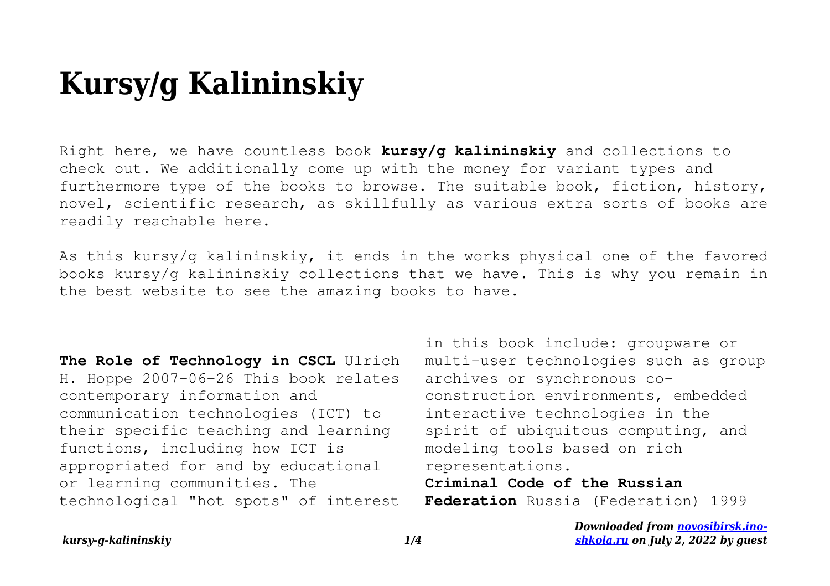## **Kursy/g Kalininskiy**

Right here, we have countless book **kursy/g kalininskiy** and collections to check out. We additionally come up with the money for variant types and furthermore type of the books to browse. The suitable book, fiction, history, novel, scientific research, as skillfully as various extra sorts of books are readily reachable here.

As this kursy/g kalininskiy, it ends in the works physical one of the favored books kursy/g kalininskiy collections that we have. This is why you remain in the best website to see the amazing books to have.

**The Role of Technology in CSCL** Ulrich H. Hoppe 2007-06-26 This book relates contemporary information and communication technologies (ICT) to their specific teaching and learning functions, including how ICT is appropriated for and by educational or learning communities. The technological "hot spots" of interest in this book include: groupware or multi-user technologies such as group archives or synchronous coconstruction environments, embedded interactive technologies in the spirit of ubiquitous computing, and modeling tools based on rich representations.

**Criminal Code of the Russian Federation** Russia (Federation) 1999

> *Downloaded from [novosibirsk.ino](http://novosibirsk.ino-shkola.ru)[shkola.ru](http://novosibirsk.ino-shkola.ru) on July 2, 2022 by guest*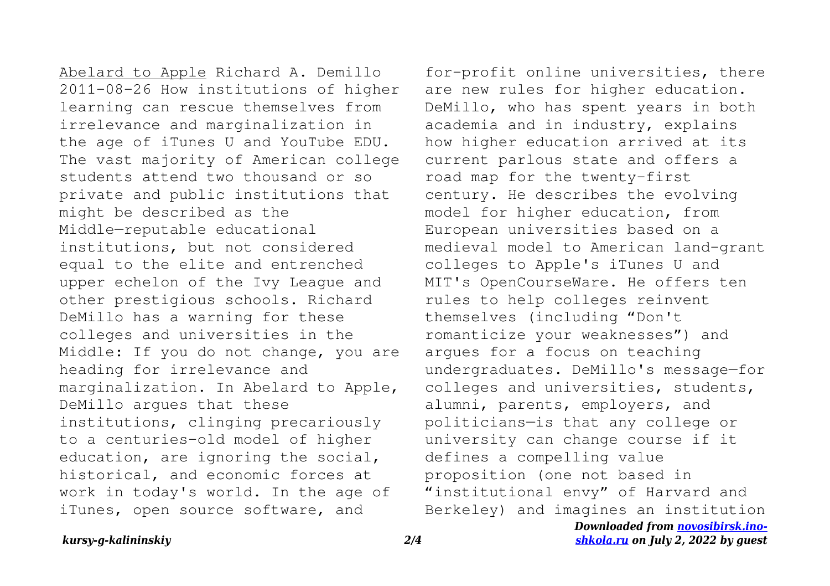Abelard to Apple Richard A. Demillo 2011-08-26 How institutions of higher learning can rescue themselves from irrelevance and marginalization in the age of iTunes U and YouTube EDU. The vast majority of American college students attend two thousand or so private and public institutions that might be described as the Middle—reputable educational institutions, but not considered equal to the elite and entrenched upper echelon of the Ivy League and other prestigious schools. Richard DeMillo has a warning for these colleges and universities in the Middle: If you do not change, you are heading for irrelevance and marginalization. In Abelard to Apple, DeMillo argues that these institutions, clinging precariously to a centuries-old model of higher education, are ignoring the social, historical, and economic forces at work in today's world. In the age of iTunes, open source software, and

for-profit online universities, there are new rules for higher education. DeMillo, who has spent years in both academia and in industry, explains how higher education arrived at its current parlous state and offers a road map for the twenty-first century. He describes the evolving model for higher education, from European universities based on a medieval model to American land-grant colleges to Apple's iTunes U and MIT's OpenCourseWare. He offers ten rules to help colleges reinvent themselves (including "Don't romanticize your weaknesses") and argues for a focus on teaching undergraduates. DeMillo's message—for colleges and universities, students, alumni, parents, employers, and politicians—is that any college or university can change course if it defines a compelling value proposition (one not based in "institutional envy" of Harvard and Berkeley) and imagines an institution

*Downloaded from [novosibirsk.ino](http://novosibirsk.ino-shkola.ru)[shkola.ru](http://novosibirsk.ino-shkola.ru) on July 2, 2022 by guest*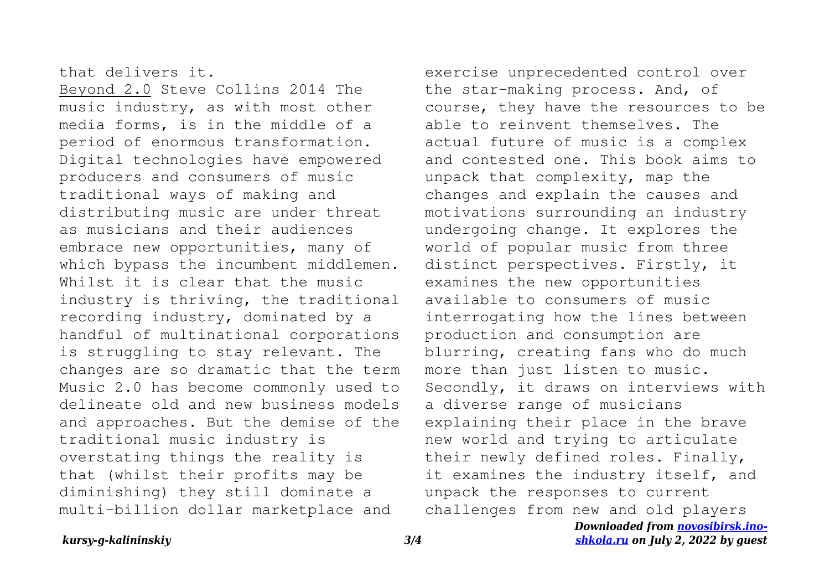## that delivers it.

Beyond 2.0 Steve Collins 2014 The music industry, as with most other media forms, is in the middle of a period of enormous transformation. Digital technologies have empowered producers and consumers of music traditional ways of making and distributing music are under threat as musicians and their audiences embrace new opportunities, many of which bypass the incumbent middlemen. Whilst it is clear that the music industry is thriving, the traditional recording industry, dominated by a handful of multinational corporations is struggling to stay relevant. The changes are so dramatic that the term Music 2.0 has become commonly used to delineate old and new business models and approaches. But the demise of the traditional music industry is overstating things the reality is that (whilst their profits may be diminishing) they still dominate a multi-billion dollar marketplace and

exercise unprecedented control over the star-making process. And, of course, they have the resources to be able to reinvent themselves. The actual future of music is a complex and contested one. This book aims to unpack that complexity, map the changes and explain the causes and motivations surrounding an industry undergoing change. It explores the world of popular music from three distinct perspectives. Firstly, it examines the new opportunities available to consumers of music interrogating how the lines between production and consumption are blurring, creating fans who do much more than just listen to music. Secondly, it draws on interviews with a diverse range of musicians explaining their place in the brave new world and trying to articulate their newly defined roles. Finally, it examines the industry itself, and unpack the responses to current challenges from new and old players

> *Downloaded from [novosibirsk.ino](http://novosibirsk.ino-shkola.ru)[shkola.ru](http://novosibirsk.ino-shkola.ru) on July 2, 2022 by guest*